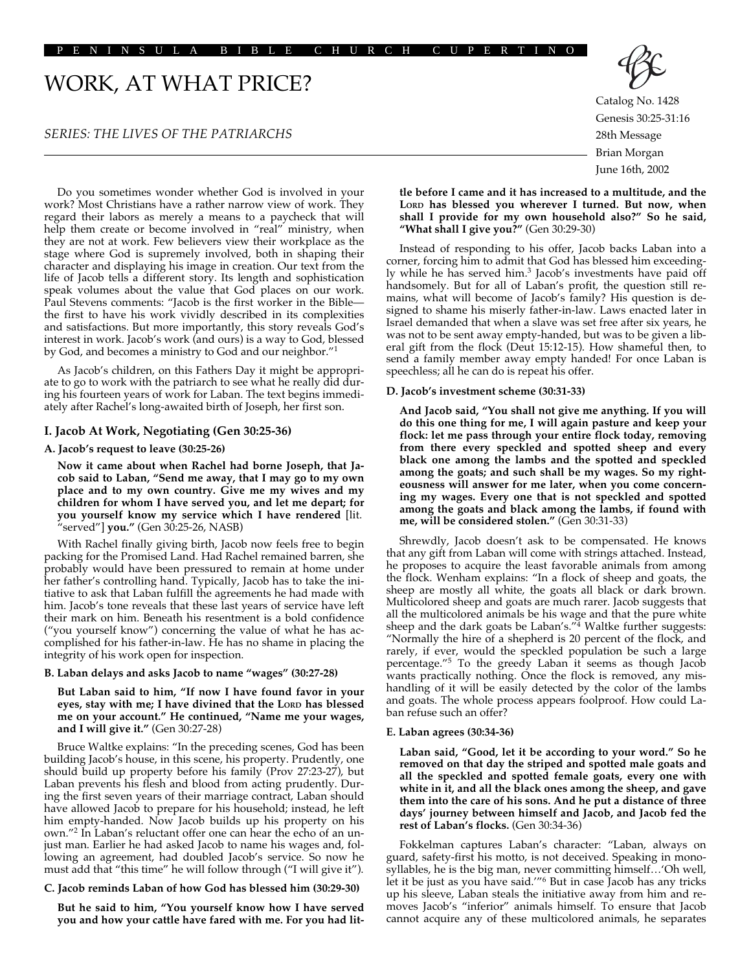## PENINSULA BIBLE CHURCH CUPERTINO

# WORK, AT WHAT PRICE?

## *SERIES: THE LIVES OF THE PATRIARCHS*

Do you sometimes wonder whether God is involved in your work? Most Christians have a rather narrow view of work. They regard their labors as merely a means to a paycheck that will help them create or become involved in "real" ministry, when they are not at work. Few believers view their workplace as the stage where God is supremely involved, both in shaping their character and displaying his image in creation. Our text from the life of Jacob tells a different story. Its length and sophistication speak volumes about the value that God places on our work. Paul Stevens comments: "Jacob is the first worker in the Bible the first to have his work vividly described in its complexities and satisfactions. But more importantly, this story reveals God's interest in work. Jacob's work (and ours) is a way to God, blessed by God, and becomes a ministry to God and our neighbor."1

As Jacob's children, on this Fathers Day it might be appropriate to go to work with the patriarch to see what he really did during his fourteen years of work for Laban. The text begins immediately after Rachel's long-awaited birth of Joseph, her first son.

## **I. Jacob At Work, Negotiating (Gen 30:25-36)**

#### **A. Jacob's request to leave (30:25-26)**

**Now it came about when Rachel had borne Joseph, that Jacob said to Laban, "Send me away, that I may go to my own place and to my own country. Give me my wives and my children for whom I have served you, and let me depart; for you yourself know my service which I have rendered** [lit. "served"] **you."** (Gen 30:25-26, NASB)

With Rachel finally giving birth, Jacob now feels free to begin packing for the Promised Land. Had Rachel remained barren, she probably would have been pressured to remain at home under her father's controlling hand. Typically, Jacob has to take the initiative to ask that Laban fulfill the agreements he had made with him. Jacob's tone reveals that these last years of service have left their mark on him. Beneath his resentment is a bold confidence ("you yourself know") concerning the value of what he has accomplished for his father-in-law. He has no shame in placing the integrity of his work open for inspection.

#### **B. Laban delays and asks Jacob to name "wages" (30:27-28)**

**But Laban said to him, "If now I have found favor in your eyes, stay with me; I have divined that the LORD has blessed me on your account." He continued, "Name me your wages, and I will give it."** (Gen 30:27-28)

Bruce Waltke explains: "In the preceding scenes, God has been building Jacob's house, in this scene, his property. Prudently, one should build up property before his family (Prov 27:23-27), but Laban prevents his flesh and blood from acting prudently. During the first seven years of their marriage contract, Laban should have allowed Jacob to prepare for his household; instead, he left him empty-handed. Now Jacob builds up his property on his own."2 In Laban's reluctant offer one can hear the echo of an unjust man. Earlier he had asked Jacob to name his wages and, following an agreement, had doubled Jacob's service. So now he must add that "this time" he will follow through ("I will give it").

#### **C. Jacob reminds Laban of how God has blessed him (30:29-30)**

**But he said to him, "You yourself know how I have served you and how your cattle have fared with me. For you had lit-**



Catalog No. 1428 Genesis 30:25-31:16 28th Message Brian Morgan June 16th, 2002

**tle before I came and it has increased to a multitude, and the LORD has blessed you wherever I turned. But now, when shall I provide for my own household also?" So he said, "What shall I give you?"** (Gen 30:29-30)

Instead of responding to his offer, Jacob backs Laban into a corner, forcing him to admit that God has blessed him exceedingly while he has served him.<sup>3</sup> Jacob's investments have paid off handsomely. But for all of Laban's profit, the question still remains, what will become of Jacob's family? His question is designed to shame his miserly father-in-law. Laws enacted later in Israel demanded that when a slave was set free after six years, he was not to be sent away empty-handed, but was to be given a liberal gift from the flock (Deut 15:12-15). How shameful then, to send a family member away empty handed! For once Laban is speechless; all he can do is repeat his offer.

### **D. Jacob's investment scheme (30:31-33)**

**And Jacob said, "You shall not give me anything. If you will do this one thing for me, I will again pasture and keep your flock: let me pass through your entire flock today, removing from there every speckled and spotted sheep and every black one among the lambs and the spotted and speckled among the goats; and such shall be my wages. So my righteousness will answer for me later, when you come concerning my wages. Every one that is not speckled and spotted among the goats and black among the lambs, if found with me, will be considered stolen."** (Gen 30:31-33)

Shrewdly, Jacob doesn't ask to be compensated. He knows that any gift from Laban will come with strings attached. Instead, he proposes to acquire the least favorable animals from among the flock. Wenham explains: "In a flock of sheep and goats, the sheep are mostly all white, the goats all black or dark brown. Multicolored sheep and goats are much rarer. Jacob suggests that all the multicolored animals be his wage and that the pure white sheep and the dark goats be Laban's."<sup>4</sup> Waltke further suggests: "Normally the hire of a shepherd is 20 percent of the flock, and rarely, if ever, would the speckled population be such a large percentage."5 To the greedy Laban it seems as though Jacob wants practically nothing. Once the flock is removed, any mishandling of it will be easily detected by the color of the lambs and goats. The whole process appears foolproof. How could Laban refuse such an offer?

#### **E. Laban agrees (30:34-36)**

**Laban said, "Good, let it be according to your word." So he removed on that day the striped and spotted male goats and all the speckled and spotted female goats, every one with white in it, and all the black ones among the sheep, and gave them into the care of his sons. And he put a distance of three days' journey between himself and Jacob, and Jacob fed the rest of Laban's flocks.** (Gen 30:34-36)

Fokkelman captures Laban's character: "Laban, always on guard, safety-first his motto, is not deceived. Speaking in monosyllables, he is the big man, never committing himself…'Oh well, let it be just as you have said.'"6 But in case Jacob has any tricks up his sleeve, Laban steals the initiative away from him and removes Jacob's "inferior" animals himself. To ensure that Jacob cannot acquire any of these multicolored animals, he separates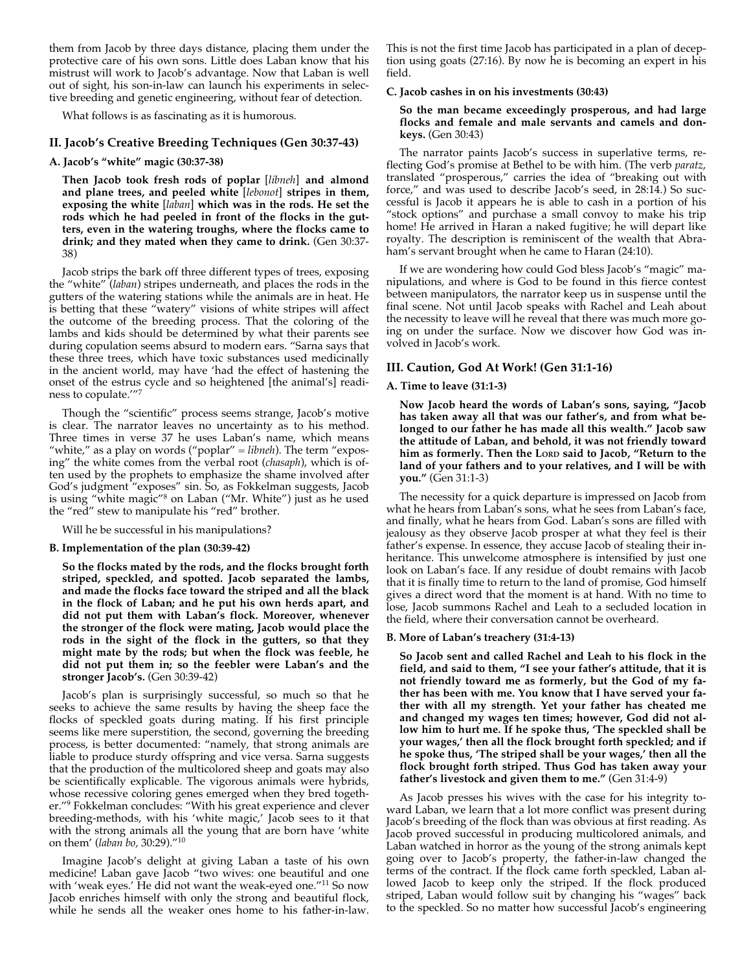them from Jacob by three days distance, placing them under the protective care of his own sons. Little does Laban know that his mistrust will work to Jacob's advantage. Now that Laban is well out of sight, his son-in-law can launch his experiments in selective breeding and genetic engineering, without fear of detection.

What follows is as fascinating as it is humorous.

## **II. Jacob's Creative Breeding Techniques (Gen 30:37-43)**

## **A. Jacob's "white" magic (30:37-38)**

**Then Jacob took fresh rods of poplar** [*libneh*] **and almond and plane trees, and peeled white** [*lebonot*] **stripes in them, exposing the white** [*laban*] **which was in the rods. He set the rods which he had peeled in front of the flocks in the gutters, even in the watering troughs, where the flocks came to drink; and they mated when they came to drink.** (Gen 30:37- 38)

Jacob strips the bark off three different types of trees, exposing the "white" (*laban*) stripes underneath, and places the rods in the gutters of the watering stations while the animals are in heat. He is betting that these "watery" visions of white stripes will affect the outcome of the breeding process. That the coloring of the lambs and kids should be determined by what their parents see during copulation seems absurd to modern ears. "Sarna says that these three trees, which have toxic substances used medicinally in the ancient world, may have 'had the effect of hastening the onset of the estrus cycle and so heightened [the animal's] readiness to copulate.'"7

Though the "scientific" process seems strange, Jacob's motive is clear. The narrator leaves no uncertainty as to his method. Three times in verse 37 he uses Laban's name, which means "white," as a play on words ("poplar" = *libneh*). The term "exposing" the white comes from the verbal root (*chasaph*), which is often used by the prophets to emphasize the shame involved after God's judgment "exposes" sin. So, as Fokkelman suggests, Jacob is using "white magic"8 on Laban ("Mr. White") just as he used the "red" stew to manipulate his "red" brother.

Will he be successful in his manipulations?

#### **B. Implementation of the plan (30:39-42)**

**So the flocks mated by the rods, and the flocks brought forth striped, speckled, and spotted. Jacob separated the lambs, and made the flocks face toward the striped and all the black in the flock of Laban; and he put his own herds apart, and did not put them with Laban's flock. Moreover, whenever the stronger of the flock were mating, Jacob would place the rods in the sight of the flock in the gutters, so that they might mate by the rods; but when the flock was feeble, he did not put them in; so the feebler were Laban's and the stronger Jacob's.** (Gen 30:39-42)

Jacob's plan is surprisingly successful, so much so that he seeks to achieve the same results by having the sheep face the flocks of speckled goats during mating. If his first principle seems like mere superstition, the second, governing the breeding process, is better documented: "namely, that strong animals are liable to produce sturdy offspring and vice versa. Sarna suggests that the production of the multicolored sheep and goats may also be scientifically explicable. The vigorous animals were hybrids, whose recessive coloring genes emerged when they bred together."9 Fokkelman concludes: "With his great experience and clever breeding-methods, with his 'white magic,' Jacob sees to it that with the strong animals all the young that are born have 'white on them' (*laban bo,* 30:29)."10

Imagine Jacob's delight at giving Laban a taste of his own medicine! Laban gave Jacob "two wives: one beautiful and one with 'weak eyes.' He did not want the weak-eyed one."11 So now Jacob enriches himself with only the strong and beautiful flock, while he sends all the weaker ones home to his father-in-law. This is not the first time Jacob has participated in a plan of deception using goats (27:16). By now he is becoming an expert in his field.

## **C. Jacob cashes in on his investments (30:43)**

## **So the man became exceedingly prosperous, and had large flocks and female and male servants and camels and donkeys.** (Gen 30:43)

The narrator paints Jacob's success in superlative terms, reflecting God's promise at Bethel to be with him. (The verb *paratz*, translated "prosperous," carries the idea of "breaking out with force," and was used to describe Jacob's seed, in 28:14.) So successful is Jacob it appears he is able to cash in a portion of his "stock options" and purchase a small convoy to make his trip home! He arrived in Haran a naked fugitive; he will depart like royalty. The description is reminiscent of the wealth that Abraham's servant brought when he came to Haran (24:10).

If we are wondering how could God bless Jacob's "magic" manipulations, and where is God to be found in this fierce contest between manipulators, the narrator keep us in suspense until the final scene. Not until Jacob speaks with Rachel and Leah about the necessity to leave will he reveal that there was much more going on under the surface. Now we discover how God was involved in Jacob's work.

#### **III. Caution, God At Work! (Gen 31:1-16)**

#### **A. Time to leave (31:1-3)**

**Now Jacob heard the words of Laban's sons, saying, "Jacob has taken away all that was our father's, and from what belonged to our father he has made all this wealth." Jacob saw the attitude of Laban, and behold, it was not friendly toward him as formerly. Then the LORD said to Jacob, "Return to the land of your fathers and to your relatives, and I will be with you."** (Gen 31:1-3)

The necessity for a quick departure is impressed on Jacob from what he hears from Laban's sons, what he sees from Laban's face, and finally, what he hears from God. Laban's sons are filled with jealousy as they observe Jacob prosper at what they feel is their father's expense. In essence, they accuse Jacob of stealing their inheritance. This unwelcome atmosphere is intensified by just one look on Laban's face. If any residue of doubt remains with Jacob that it is finally time to return to the land of promise, God himself gives a direct word that the moment is at hand. With no time to lose, Jacob summons Rachel and Leah to a secluded location in the field, where their conversation cannot be overheard.

### **B. More of Laban's treachery (31:4-13)**

**So Jacob sent and called Rachel and Leah to his flock in the field, and said to them, "I see your father's attitude, that it is not friendly toward me as formerly, but the God of my father has been with me. You know that I have served your father with all my strength. Yet your father has cheated me and changed my wages ten times; however, God did not allow him to hurt me. If he spoke thus, 'The speckled shall be your wages,' then all the flock brought forth speckled; and if he spoke thus, 'The striped shall be your wages,' then all the flock brought forth striped. Thus God has taken away your father's livestock and given them to me."** (Gen 31:4-9)

As Jacob presses his wives with the case for his integrity toward Laban, we learn that a lot more conflict was present during Jacob's breeding of the flock than was obvious at first reading. As Jacob proved successful in producing multicolored animals, and Laban watched in horror as the young of the strong animals kept going over to Jacob's property, the father-in-law changed the terms of the contract. If the flock came forth speckled, Laban allowed Jacob to keep only the striped. If the flock produced striped, Laban would follow suit by changing his "wages" back to the speckled. So no matter how successful Jacob's engineering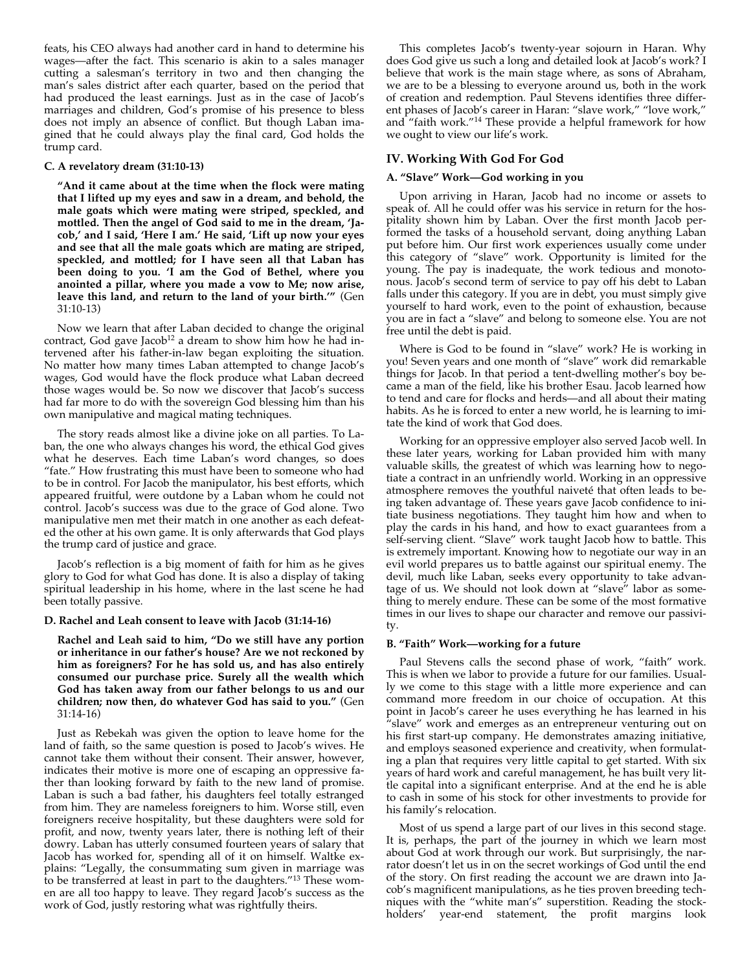feats, his CEO always had another card in hand to determine his wages—after the fact. This scenario is akin to a sales manager cutting a salesman's territory in two and then changing the man's sales district after each quarter, based on the period that had produced the least earnings. Just as in the case of Jacob's marriages and children, God's promise of his presence to bless does not imply an absence of conflict. But though Laban imagined that he could always play the final card, God holds the trump card.

## **C. A revelatory dream (31:10-13)**

**"And it came about at the time when the flock were mating that I lifted up my eyes and saw in a dream, and behold, the male goats which were mating were striped, speckled, and mottled. Then the angel of God said to me in the dream, 'Jacob,' and I said, 'Here I am.' He said, 'Lift up now your eyes and see that all the male goats which are mating are striped, speckled, and mottled; for I have seen all that Laban has been doing to you. 'I am the God of Bethel, where you anointed a pillar, where you made a vow to Me; now arise, leave this land, and return to the land of your birth.'"** (Gen 31:10-13)

Now we learn that after Laban decided to change the original contract, God gave Jacob<sup>12</sup> a dream to show him how he had intervened after his father-in-law began exploiting the situation. No matter how many times Laban attempted to change Jacob's wages, God would have the flock produce what Laban decreed those wages would be. So now we discover that Jacob's success had far more to do with the sovereign God blessing him than his own manipulative and magical mating techniques.

The story reads almost like a divine joke on all parties. To Laban, the one who always changes his word, the ethical God gives what he deserves. Each time Laban's word changes, so does "fate." How frustrating this must have been to someone who had to be in control. For Jacob the manipulator, his best efforts, which appeared fruitful, were outdone by a Laban whom he could not control. Jacob's success was due to the grace of God alone. Two manipulative men met their match in one another as each defeated the other at his own game. It is only afterwards that God plays the trump card of justice and grace.

Jacob's reflection is a big moment of faith for him as he gives glory to God for what God has done. It is also a display of taking spiritual leadership in his home, where in the last scene he had been totally passive.

### **D. Rachel and Leah consent to leave with Jacob (31:14-16)**

**Rachel and Leah said to him, "Do we still have any portion or inheritance in our father's house? Are we not reckoned by him as foreigners? For he has sold us, and has also entirely consumed our purchase price. Surely all the wealth which God has taken away from our father belongs to us and our children; now then, do whatever God has said to you."** (Gen 31:14-16)

Just as Rebekah was given the option to leave home for the land of faith, so the same question is posed to Jacob's wives. He cannot take them without their consent. Their answer, however, indicates their motive is more one of escaping an oppressive father than looking forward by faith to the new land of promise. Laban is such a bad father, his daughters feel totally estranged from him. They are nameless foreigners to him. Worse still, even foreigners receive hospitality, but these daughters were sold for profit, and now, twenty years later, there is nothing left of their dowry. Laban has utterly consumed fourteen years of salary that Jacob has worked for, spending all of it on himself. Waltke explains: "Legally, the consummating sum given in marriage was to be transferred at least in part to the daughters."13 These women are all too happy to leave. They regard Jacob's success as the work of God, justly restoring what was rightfully theirs.

This completes Jacob's twenty-year sojourn in Haran. Why does God give us such a long and detailed look at Jacob's work? I believe that work is the main stage where, as sons of Abraham, we are to be a blessing to everyone around us, both in the work of creation and redemption. Paul Stevens identifies three different phases of Jacob's career in Haran: "slave work," "love work," and "faith work."14 These provide a helpful framework for how we ought to view our life's work.

## **IV. Working With God For God**

#### **A. "Slave" Work—God working in you**

Upon arriving in Haran, Jacob had no income or assets to speak of. All he could offer was his service in return for the hospitality shown him by Laban. Over the first month Jacob performed the tasks of a household servant, doing anything Laban put before him. Our first work experiences usually come under this category of "slave" work. Opportunity is limited for the young. The pay is inadequate, the work tedious and monotonous. Jacob's second term of service to pay off his debt to Laban falls under this category. If you are in debt, you must simply give yourself to hard work, even to the point of exhaustion, because you are in fact a "slave" and belong to someone else. You are not free until the debt is paid.

Where is God to be found in "slave" work? He is working in you! Seven years and one month of "slave" work did remarkable things for Jacob. In that period a tent-dwelling mother's boy became a man of the field, like his brother Esau. Jacob learned how to tend and care for flocks and herds—and all about their mating habits. As he is forced to enter a new world, he is learning to imitate the kind of work that God does.

Working for an oppressive employer also served Jacob well. In these later years, working for Laban provided him with many valuable skills, the greatest of which was learning how to negotiate a contract in an unfriendly world. Working in an oppressive atmosphere removes the youthful naiveté that often leads to being taken advantage of. These years gave Jacob confidence to initiate business negotiations. They taught him how and when to play the cards in his hand, and how to exact guarantees from a self-serving client. "Slave" work taught Jacob how to battle. This is extremely important. Knowing how to negotiate our way in an evil world prepares us to battle against our spiritual enemy. The devil, much like Laban, seeks every opportunity to take advantage of us. We should not look down at "slave" labor as something to merely endure. These can be some of the most formative times in our lives to shape our character and remove our passivity.

## **B. "Faith" Work—working for a future**

Paul Stevens calls the second phase of work, "faith" work. This is when we labor to provide a future for our families. Usually we come to this stage with a little more experience and can command more freedom in our choice of occupation. At this point in Jacob's career he uses everything he has learned in his "slave" work and emerges as an entrepreneur venturing out on his first start-up company. He demonstrates amazing initiative, and employs seasoned experience and creativity, when formulating a plan that requires very little capital to get started. With six years of hard work and careful management, he has built very little capital into a significant enterprise. And at the end he is able to cash in some of his stock for other investments to provide for his family's relocation.

Most of us spend a large part of our lives in this second stage. It is, perhaps, the part of the journey in which we learn most about God at work through our work. But surprisingly, the narrator doesn't let us in on the secret workings of God until the end of the story. On first reading the account we are drawn into Jacob's magnificent manipulations, as he ties proven breeding techniques with the "white man's" superstition. Reading the stockholders' year-end statement, the profit margins look